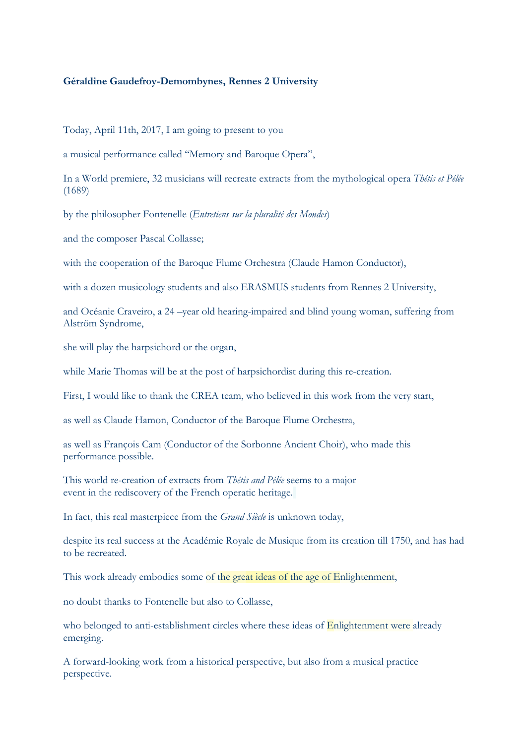### **Géraldine Gaudefroy-Demombynes, Rennes 2 University**

Today, April 11th, 2017, I am going to present to you

a musical performance called "Memory and Baroque Opera",

In a World premiere, 32 musicians will recreate extracts from the mythological opera *Thétis et Pélée* (1689)

by the philosopher Fontenelle (*Entretiens sur la pluralité des Mondes*)

and the composer Pascal Collasse;

with the cooperation of the Baroque Flume Orchestra (Claude Hamon Conductor),

with a dozen musicology students and also ERASMUS students from Rennes 2 University,

and Océanie Craveiro, a 24 –year old hearing-impaired and blind young woman, suffering from Alström Syndrome,

she will play the harpsichord or the organ,

while Marie Thomas will be at the post of harpsichordist during this re-creation.

First, I would like to thank the CREA team, who believed in this work from the very start,

as well as Claude Hamon, Conductor of the Baroque Flume Orchestra,

as well as François Cam (Conductor of the Sorbonne Ancient Choir), who made this performance possible.

This world re-creation of extracts from *Thétis and Pélée* seems to a major event in the rediscovery of the French operatic heritage.

In fact, this real masterpiece from the *Grand Siècle* is unknown today,

despite its real success at the Académie Royale de Musique from its creation till 1750, and has had to be recreated.

This work already embodies some of the great ideas of the age of Enlightenment,

no doubt thanks to Fontenelle but also to Collasse,

who belonged to anti-establishment circles where these ideas of Enlightenment were already emerging.

A forward-looking work from a historical perspective, but also from a musical practice perspective.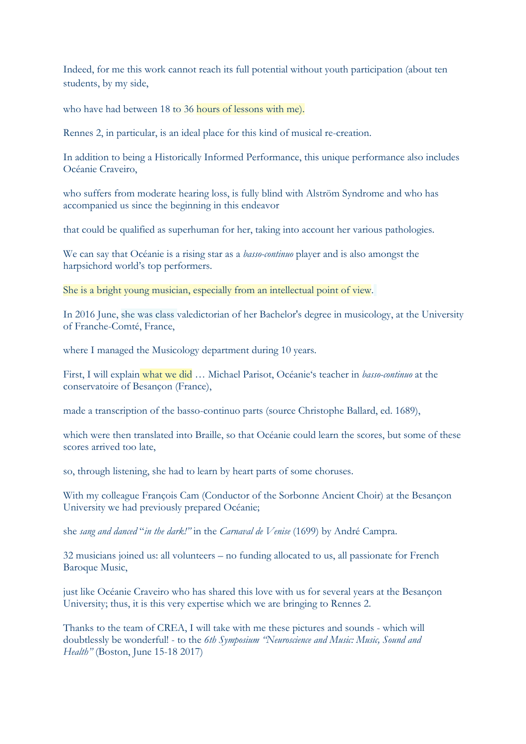Indeed, for me this work cannot reach its full potential without youth participation (about ten students, by my side,

who have had between 18 to 36 hours of lessons with me).

Rennes 2, in particular, is an ideal place for this kind of musical re-creation.

In addition to being a Historically Informed Performance, this unique performance also includes Océanie Craveiro,

who suffers from moderate hearing loss, is fully blind with Alström Syndrome and who has accompanied us since the beginning in this endeavor

that could be qualified as superhuman for her, taking into account her various pathologies.

We can say that Océanie is a rising star as a *basso-continuo* player and is also amongst the harpsichord world's top performers.

She is a bright young musician, especially from an intellectual point of view.

In 2016 June, she was class valedictorian of her Bachelor's degree in musicology, at the University of Franche-Comté, France,

where I managed the Musicology department during 10 years.

First, I will explain what we did … Michael Parisot, Océanie's teacher in *basso-continuo* at the conservatoire of Besançon (France),

made a transcription of the basso-continuo parts (source Christophe Ballard, ed. 1689),

which were then translated into Braille, so that Océanie could learn the scores, but some of these scores arrived too late,

so, through listening, she had to learn by heart parts of some choruses.

With my colleague François Cam (Conductor of the Sorbonne Ancient Choir) at the Besançon University we had previously prepared Océanie;

she *sang and danced* "*in the dark!"* in the *Carnaval de Venise* (1699) by André Campra.

32 musicians joined us: all volunteers – no funding allocated to us, all passionate for French Baroque Music,

just like Océanie Craveiro who has shared this love with us for several years at the Besançon University; thus, it is this very expertise which we are bringing to Rennes 2.

Thanks to the team of CREA, I will take with me these pictures and sounds - which will doubtlessly be wonderful! - to the *6th Symposium "Neuroscience and Music: Music, Sound and Health"* (Boston, June 15-18 2017)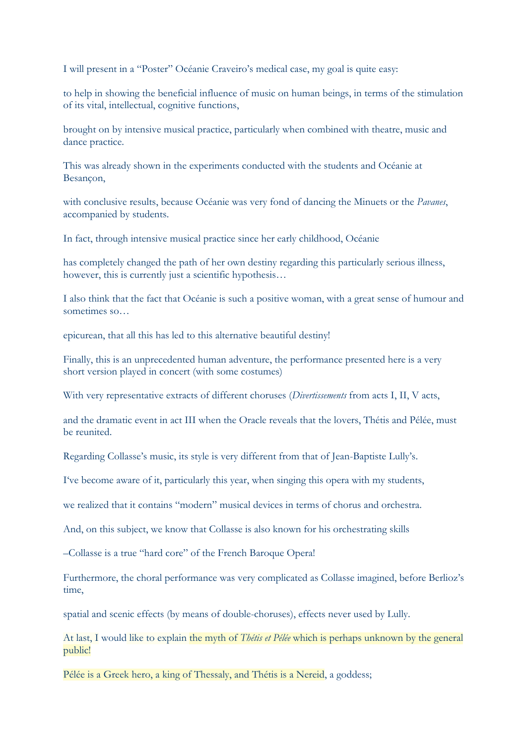I will present in a "Poster" Océanie Craveiro's medical case, my goal is quite easy:

to help in showing the beneficial influence of music on human beings, in terms of the stimulation of its vital, intellectual, cognitive functions,

brought on by intensive musical practice, particularly when combined with theatre, music and dance practice.

This was already shown in the experiments conducted with the students and Océanie at Besançon,

with conclusive results, because Océanie was very fond of dancing the Minuets or the *Pavanes*, accompanied by students.

In fact, through intensive musical practice since her early childhood, Océanie

has completely changed the path of her own destiny regarding this particularly serious illness, however, this is currently just a scientific hypothesis...

I also think that the fact that Océanie is such a positive woman, with a great sense of humour and sometimes so…

epicurean, that all this has led to this alternative beautiful destiny!

Finally, this is an unprecedented human adventure, the performance presented here is a very short version played in concert (with some costumes)

With very representative extracts of different choruses (*Divertissements* from acts I, II, V acts,

and the dramatic event in act III when the Oracle reveals that the lovers, Thétis and Pélée, must be reunited.

Regarding Collasse's music, its style is very different from that of Jean-Baptiste Lully's.

I've become aware of it, particularly this year, when singing this opera with my students,

we realized that it contains "modern" musical devices in terms of chorus and orchestra.

And, on this subject, we know that Collasse is also known for his orchestrating skills

–Collasse is a true "hard core" of the French Baroque Opera!

Furthermore, the choral performance was very complicated as Collasse imagined, before Berlioz's time,

spatial and scenic effects (by means of double-choruses), effects never used by Lully.

At last, I would like to explain the myth of *Thétis et Pélée* which is perhaps unknown by the general public!

Pélée is a Greek hero, a king of Thessaly, and Thétis is a Nereid, a goddess;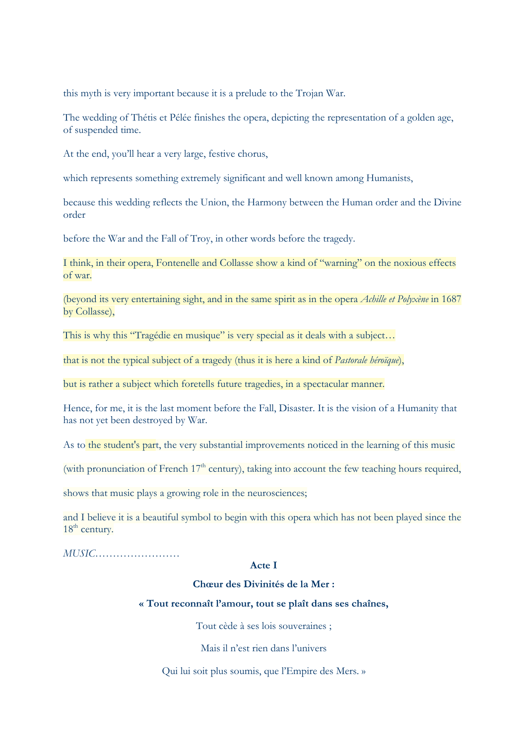this myth is very important because it is a prelude to the Trojan War.

The wedding of Thétis et Pélée finishes the opera, depicting the representation of a golden age, of suspended time.

At the end, you'll hear a very large, festive chorus,

which represents something extremely significant and well known among Humanists,

because this wedding reflects the Union, the Harmony between the Human order and the Divine order

before the War and the Fall of Troy, in other words before the tragedy.

I think, in their opera, Fontenelle and Collasse show a kind of "warning" on the noxious effects of war.

(beyond its very entertaining sight, and in the same spirit as in the opera *Achille et Polyxène* in 1687 by Collasse),

This is why this "Tragédie en musique" is very special as it deals with a subject...

that is not the typical subject of a tragedy (thus it is here a kind of *Pastorale héroïque*),

but is rather a subject which foretells future tragedies, in a spectacular manner.

Hence, for me, it is the last moment before the Fall, Disaster. It is the vision of a Humanity that has not yet been destroyed by War.

As to the student's part, the very substantial improvements noticed in the learning of this music

(with pronunciation of French  $17<sup>th</sup>$  century), taking into account the few teaching hours required,

shows that music plays a growing role in the neurosciences;

and I believe it is a beautiful symbol to begin with this opera which has not been played since the  $18<sup>th</sup>$  century.

*MUSIC……………………*

#### **Acte I**

## **Chœur des Divinités de la Mer :**

#### **« Tout reconnaît l'amour, tout se plaît dans ses chaînes,**

Tout cède à ses lois souveraines ;

Mais il n'est rien dans l'univers

Qui lui soit plus soumis, que l'Empire des Mers. »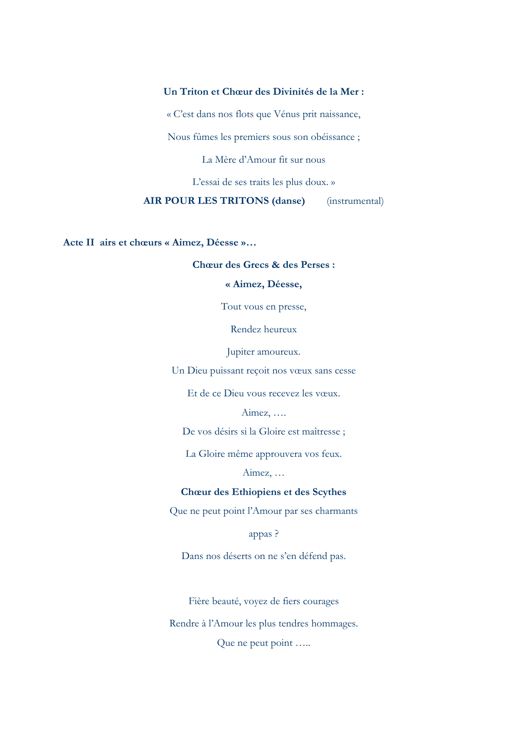## **Un Triton et Chœur des Divinités de la Mer :**

« C'est dans nos flots que Vénus prit naissance,

Nous fûmes les premiers sous son obéissance ;

La Mère d'Amour fit sur nous

L'essai de ses traits les plus doux. »

**AIR POUR LES TRITONS (danse)** (instrumental)

**Acte II airs et chœurs « Aimez, Déesse »…**

#### **Chœur des Grecs & des Perses :**

## **« Aimez, Déesse,**

Tout vous en presse,

Rendez heureux

Jupiter amoureux.

Un Dieu puissant reçoit nos vœux sans cesse

Et de ce Dieu vous recevez les vœux.

Aimez, ….

De vos désirs si la Gloire est maîtresse ;

La Gloire même approuvera vos feux.

Aimez, …

#### **Chœur des Ethiopiens et des Scythes**

Que ne peut point l'Amour par ses charmants

appas ?

Dans nos déserts on ne s'en défend pas.

Fière beauté, voyez de fiers courages

Rendre à l'Amour les plus tendres hommages.

Que ne peut point …..